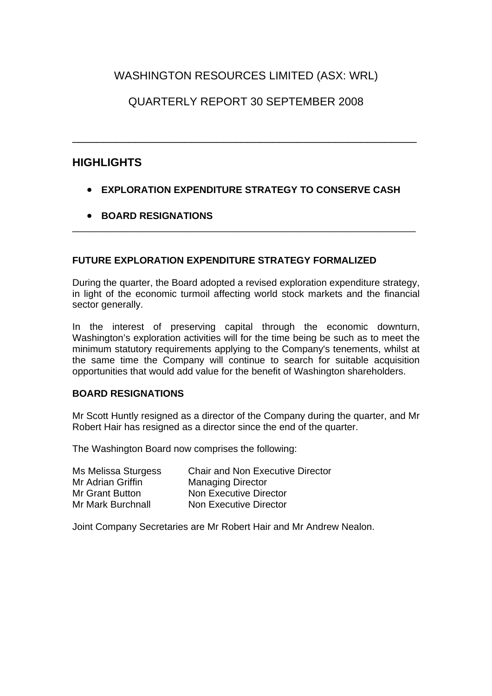## WASHINGTON RESOURCES LIMITED (ASX: WRL)

## QUARTERLY REPORT 30 SEPTEMBER 2008

\_\_\_\_\_\_\_\_\_\_\_\_\_\_\_\_\_\_\_\_\_\_\_\_\_\_\_\_\_\_\_\_\_\_\_\_\_\_\_\_\_\_\_\_\_\_\_\_\_\_\_\_\_\_\_

#### **HIGHLIGHTS**

• **EXPLORATION EXPENDITURE STRATEGY TO CONSERVE CASH**

\_\_\_\_\_\_\_\_\_\_\_\_\_\_\_\_\_\_\_\_\_\_\_\_\_\_\_\_\_\_\_\_\_\_\_\_\_\_\_\_\_\_\_\_\_\_\_\_\_\_\_\_\_\_\_\_\_\_\_\_\_\_\_\_

• **BOARD RESIGNATIONS**

#### **FUTURE EXPLORATION EXPENDITURE STRATEGY FORMALIZED**

During the quarter, the Board adopted a revised exploration expenditure strategy, in light of the economic turmoil affecting world stock markets and the financial sector generally.

In the interest of preserving capital through the economic downturn, Washington's exploration activities will for the time being be such as to meet the minimum statutory requirements applying to the Company's tenements, whilst at the same time the Company will continue to search for suitable acquisition opportunities that would add value for the benefit of Washington shareholders.

#### **BOARD RESIGNATIONS**

Mr Scott Huntly resigned as a director of the Company during the quarter, and Mr Robert Hair has resigned as a director since the end of the quarter.

The Washington Board now comprises the following:

Mr Adrian Griffin Managing Director

Ms Melissa Sturgess Chair and Non Executive Director Mr Grant Button Non Executive Director Mr Mark Burchnall Non Executive Director

Joint Company Secretaries are Mr Robert Hair and Mr Andrew Nealon.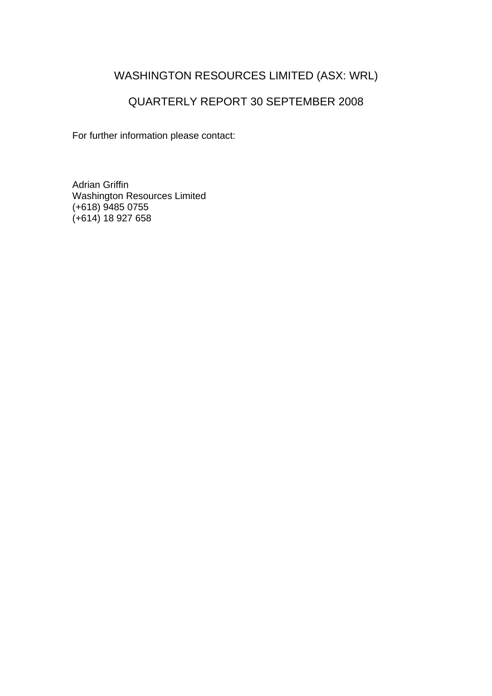## WASHINGTON RESOURCES LIMITED (ASX: WRL)

## QUARTERLY REPORT 30 SEPTEMBER 2008

For further information please contact:

Adrian Griffin Washington Resources Limited (+618) 9485 0755 (+614) 18 927 658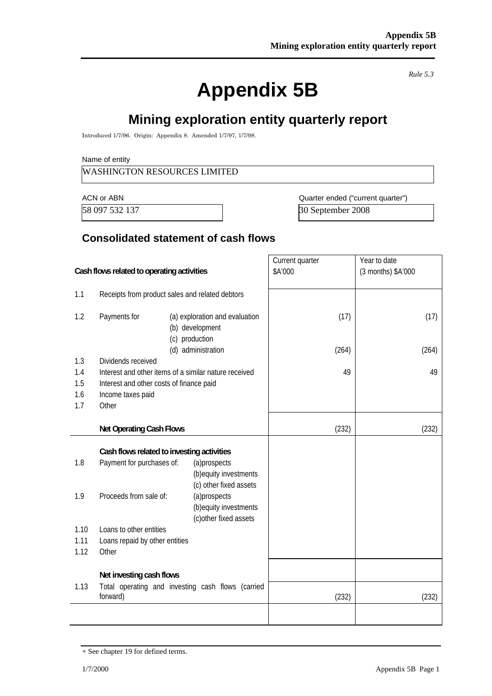# **Appendix 5B**

*Rule 5.3* 

# **Mining exploration entity quarterly report**

Introduced 1/7/96. Origin: Appendix 8. Amended 1/7/97, 1/7/98.

Name of entity

#### WASHINGTON RESOURCES LIMITED

ACN or ABN **ACN** or ABN **ACN** Ouarter ended ("current quarter") 58 097 532 137 30 September 2008

#### **Consolidated statement of cash flows**

| Cash flows related to operating activities |                                                                                                                                             | Current quarter<br>\$A'000 | Year to date<br>(3 months) \$A'000 |
|--------------------------------------------|---------------------------------------------------------------------------------------------------------------------------------------------|----------------------------|------------------------------------|
| 1.1                                        | Receipts from product sales and related debtors                                                                                             |                            |                                    |
| 1.2                                        | Payments for<br>(a) exploration and evaluation<br>(b) development<br>(c) production                                                         | (17)                       | (17)                               |
|                                            | (d) administration<br>Dividends received                                                                                                    | (264)                      | (264)                              |
| 1.3<br>1.4                                 | Interest and other items of a similar nature received                                                                                       | 49                         | 49                                 |
| 1.5                                        | Interest and other costs of finance paid                                                                                                    |                            |                                    |
| 1.6                                        | Income taxes paid                                                                                                                           |                            |                                    |
| 1.7                                        | Other                                                                                                                                       |                            |                                    |
|                                            |                                                                                                                                             |                            |                                    |
|                                            | <b>Net Operating Cash Flows</b>                                                                                                             | (232)                      | (232)                              |
| 1.8                                        | Cash flows related to investing activities<br>Payment for purchases of:<br>(a)prospects<br>(b) equity investments<br>(c) other fixed assets |                            |                                    |
| 1.9                                        | Proceeds from sale of:<br>(a)prospects<br>(b) equity investments<br>(c) other fixed assets                                                  |                            |                                    |
| 1.10                                       | Loans to other entities                                                                                                                     |                            |                                    |
| 1.11                                       | Loans repaid by other entities                                                                                                              |                            |                                    |
| 1.12                                       | Other                                                                                                                                       |                            |                                    |
|                                            | Net investing cash flows                                                                                                                    |                            |                                    |
| 1.13                                       | Total operating and investing cash flows (carried<br>forward)                                                                               | (232)                      | (232)                              |
|                                            |                                                                                                                                             |                            |                                    |

<sup>+</sup> See chapter 19 for defined terms.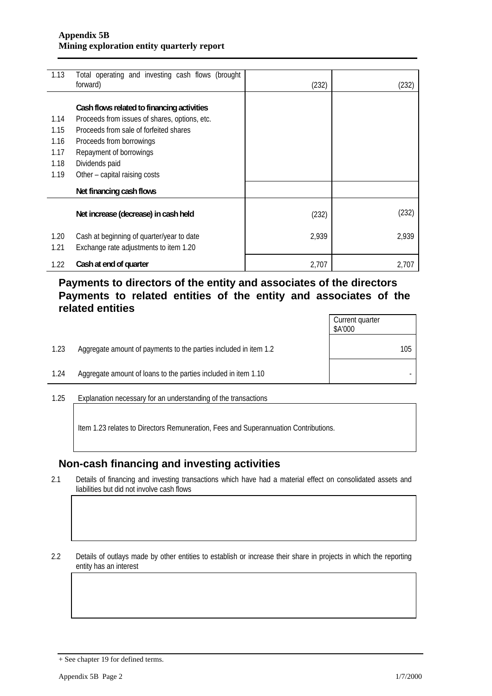| 1.13 | Total operating and investing cash flows (brought<br>forward) | (232) | (232) |
|------|---------------------------------------------------------------|-------|-------|
|      |                                                               |       |       |
|      | Cash flows related to financing activities                    |       |       |
| 1.14 | Proceeds from issues of shares, options, etc.                 |       |       |
| 1.15 | Proceeds from sale of forfeited shares                        |       |       |
| 1.16 | Proceeds from borrowings                                      |       |       |
| 1.17 | Repayment of borrowings                                       |       |       |
| 1.18 | Dividends paid                                                |       |       |
| 1.19 | Other – capital raising costs                                 |       |       |
|      | Net financing cash flows                                      |       |       |
|      | Net increase (decrease) in cash held                          | (232) | (232) |
| 1.20 | Cash at beginning of quarter/year to date                     | 2,939 | 2,939 |
| 1.21 | Exchange rate adjustments to item 1.20                        |       |       |
| 1.22 | Cash at end of quarter                                        | 2,707 | 2,707 |

### **Payments to directors of the entity and associates of the directors Payments to related entities of the entity and associates of the related entities**

|      |                                                                  | Current quarter<br>\$A'000 |
|------|------------------------------------------------------------------|----------------------------|
| 1.23 | Aggregate amount of payments to the parties included in item 1.2 | 105                        |
| 1.24 | Aggregate amount of loans to the parties included in item 1.10   |                            |

1.25 Explanation necessary for an understanding of the transactions

Item 1.23 relates to Directors Remuneration, Fees and Superannuation Contributions.

#### **Non-cash financing and investing activities**

2.1 Details of financing and investing transactions which have had a material effect on consolidated assets and liabilities but did not involve cash flows

2.2 Details of outlays made by other entities to establish or increase their share in projects in which the reporting entity has an interest

<sup>+</sup> See chapter 19 for defined terms.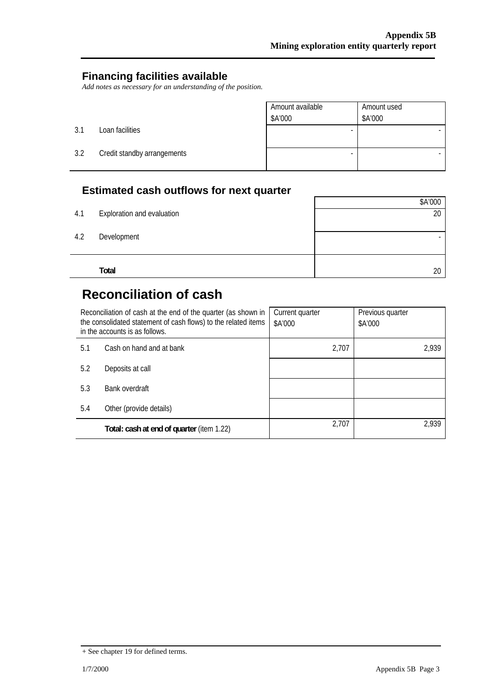#### **Financing facilities available**

*Add notes as necessary for an understanding of the position.* 

|     |                             | Amount available<br>\$A'000 | Amount used<br>\$A'000 |
|-----|-----------------------------|-----------------------------|------------------------|
| 3.1 | Loan facilities             |                             |                        |
| 3.2 | Credit standby arrangements |                             |                        |

## **Estimated cash outflows for next quarter**

|     |                            | \$A'000 |
|-----|----------------------------|---------|
| 4.1 | Exploration and evaluation | 20      |
|     |                            |         |
| 4.2 | Development                |         |
|     |                            |         |
|     |                            |         |
|     | Total                      | 20      |

# **Reconciliation of cash**

| Reconciliation of cash at the end of the quarter (as shown in<br>the consolidated statement of cash flows) to the related items<br>in the accounts is as follows. |                                           | Current quarter<br>\$A'000 | Previous quarter<br>\$A'000 |
|-------------------------------------------------------------------------------------------------------------------------------------------------------------------|-------------------------------------------|----------------------------|-----------------------------|
| Cash on hand and at bank<br>5.1                                                                                                                                   |                                           | 2,707                      | 2,939                       |
| 5.2                                                                                                                                                               | Deposits at call                          |                            |                             |
| 5.3                                                                                                                                                               | Bank overdraft                            |                            |                             |
| 5.4<br>Other (provide details)                                                                                                                                    |                                           |                            |                             |
|                                                                                                                                                                   | Total: cash at end of quarter (item 1.22) | 2,707                      | 2,939                       |

<sup>+</sup> See chapter 19 for defined terms.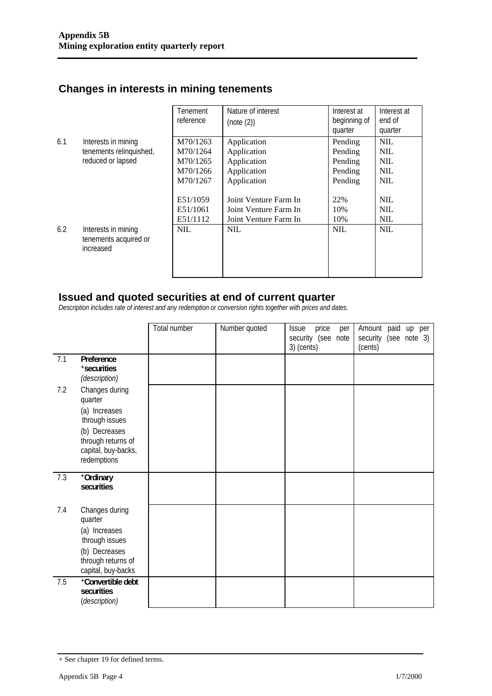# **Changes in interests in mining tenements**

|     |                                                           | Tenement<br>reference | Nature of interest<br>(note (2)) | Interest at<br>beginning of<br>quarter | Interest at<br>end of<br>quarter |
|-----|-----------------------------------------------------------|-----------------------|----------------------------------|----------------------------------------|----------------------------------|
| 6.1 | Interests in mining                                       | M70/1263              | Application                      | Pending                                | <b>NIL</b>                       |
|     | tenements relinquished,                                   | M70/1264              | Application                      | Pending                                | <b>NIL</b>                       |
|     | reduced or lapsed                                         | M70/1265              | Application                      | Pending                                | <b>NIL</b>                       |
|     |                                                           | M70/1266              | Application                      | Pending                                | <b>NIL</b>                       |
|     |                                                           | M70/1267              | Application                      | Pending                                | <b>NIL</b>                       |
|     |                                                           |                       |                                  |                                        |                                  |
|     |                                                           | E51/1059              | Joint Venture Farm In            | 22%                                    | <b>NIL</b>                       |
|     |                                                           | E51/1061              | Joint Venture Farm In            | 10%                                    | <b>NIL</b>                       |
|     |                                                           | E51/1112              | Joint Venture Farm In            | 10%                                    | <b>NIL</b>                       |
| 6.2 | Interests in mining<br>tenements acquired or<br>increased | <b>NIL</b>            | <b>NIL</b>                       | <b>NIL</b>                             | <b>NIL</b>                       |

#### **Issued and quoted securities at end of current quarter**

*Description includes rate of interest and any redemption or conversion rights together with prices and dates.* 

|     |                                                                                                                                           | Total number | Number quoted | price<br><b>Issue</b><br>per<br>security (see<br>note<br>3) (cents) | Amount paid<br>up per<br>security (see note 3)<br>(cents) |
|-----|-------------------------------------------------------------------------------------------------------------------------------------------|--------------|---------------|---------------------------------------------------------------------|-----------------------------------------------------------|
| 7.1 | Preference<br>+securities<br>(description)                                                                                                |              |               |                                                                     |                                                           |
| 7.2 | Changes during<br>quarter<br>(a) Increases<br>through issues<br>(b) Decreases<br>through returns of<br>capital, buy-backs,<br>redemptions |              |               |                                                                     |                                                           |
| 7.3 | +Ordinary<br>securities                                                                                                                   |              |               |                                                                     |                                                           |
| 7.4 | Changes during<br>quarter<br>(a) Increases<br>through issues<br>(b) Decreases<br>through returns of<br>capital, buy-backs                 |              |               |                                                                     |                                                           |
| 7.5 | +Convertible debt<br>securities<br>(description)                                                                                          |              |               |                                                                     |                                                           |

<sup>+</sup> See chapter 19 for defined terms.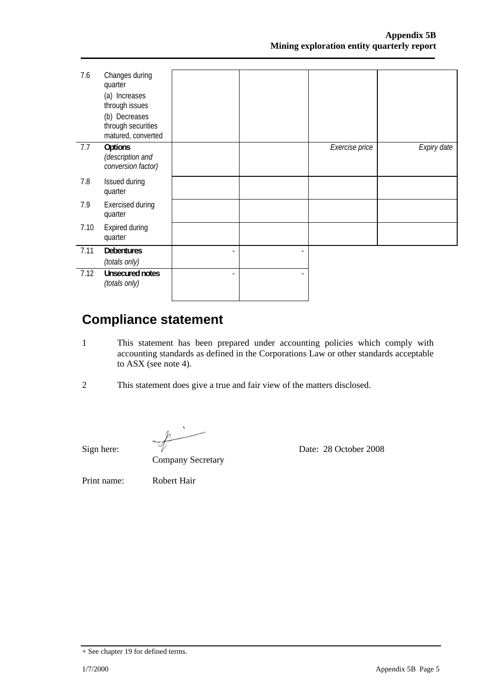| 7.6  | Changes during<br>quarter<br>(a) Increases<br>through issues<br>(b) Decreases<br>through securities<br>matured, converted |  |                |             |
|------|---------------------------------------------------------------------------------------------------------------------------|--|----------------|-------------|
| 7.7  | Options<br>(description and<br>conversion factor)                                                                         |  | Exercise price | Expiry date |
| 7.8  | Issued during<br>quarter                                                                                                  |  |                |             |
| 7.9  | Exercised during<br>quarter                                                                                               |  |                |             |
| 7.10 | <b>Expired during</b><br>quarter                                                                                          |  |                |             |
| 7.11 | <b>Debentures</b><br>(totals only)                                                                                        |  |                |             |
| 7.12 | <b>Unsecured notes</b><br>(totals only)                                                                                   |  |                |             |

# **Compliance statement**

- 1 This statement has been prepared under accounting policies which comply with accounting standards as defined in the Corporations Law or other standards acceptable to ASX (see note 4).
- 2 This statement does give a true and fair view of the matters disclosed.

Sign here:  $\sqrt{}$  Date: 28 October 2008

Company Secretary

Print name: Robert Hair

<sup>+</sup> See chapter 19 for defined terms.